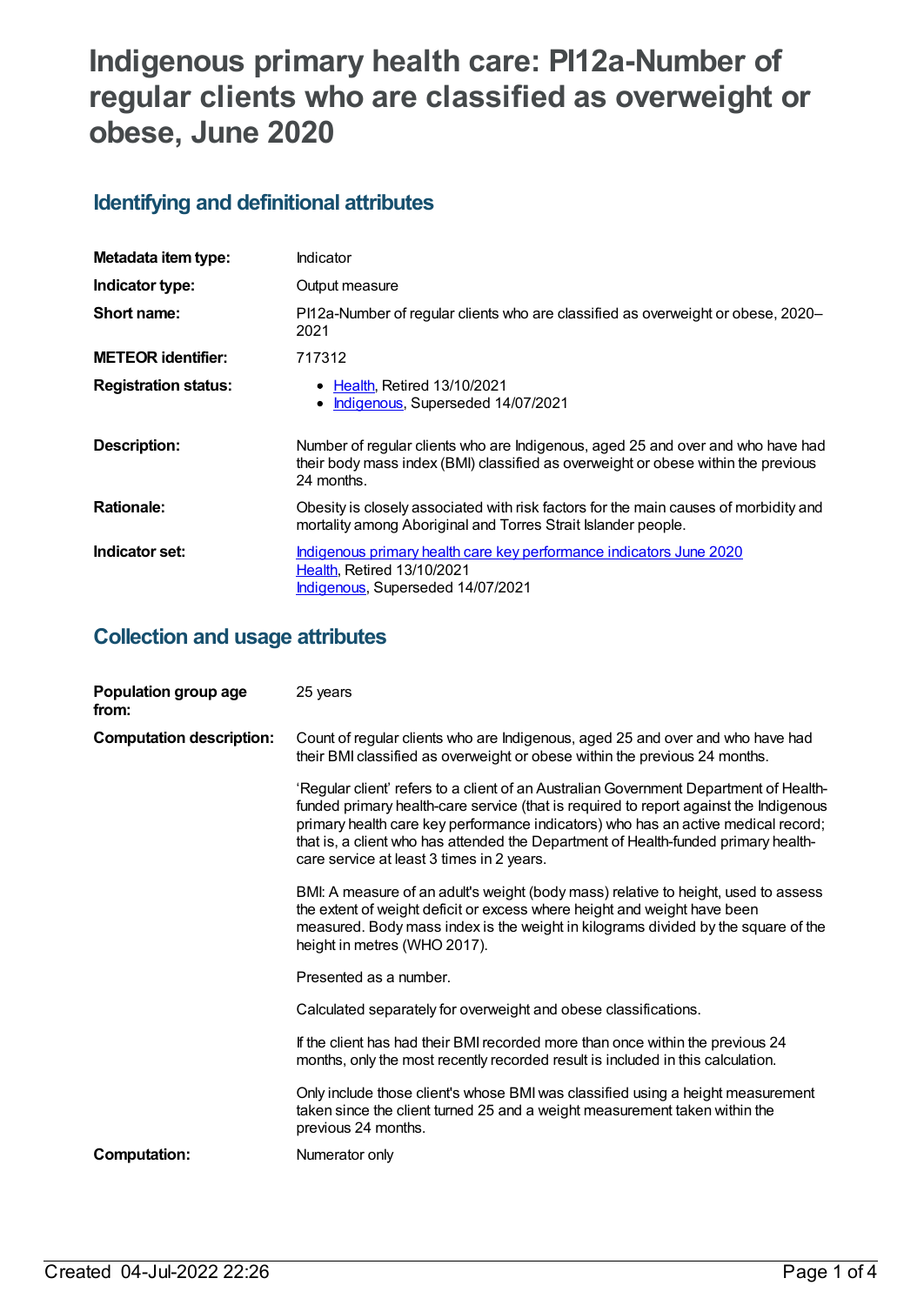# **Indigenous primary health care: PI12a-Number of regular clients who are classified as overweight or obese, June 2020**

### **Identifying and definitional attributes**

| Metadata item type:         | Indicator                                                                                                                                                                          |
|-----------------------------|------------------------------------------------------------------------------------------------------------------------------------------------------------------------------------|
| Indicator type:             | Output measure                                                                                                                                                                     |
| Short name:                 | PI12a-Number of regular clients who are classified as overweight or obese, 2020-<br>2021                                                                                           |
| <b>METEOR identifier:</b>   | 717312                                                                                                                                                                             |
| <b>Registration status:</b> | • Health, Retired 13/10/2021<br>Indigenous, Superseded 14/07/2021                                                                                                                  |
| Description:                | Number of regular clients who are Indigenous, aged 25 and over and who have had<br>their body mass index (BMI) classified as overweight or obese within the previous<br>24 months. |
| <b>Rationale:</b>           | Obesity is closely associated with risk factors for the main causes of morbidity and<br>mortality among Aboriginal and Torres Strait Islander people.                              |
| Indicator set:              | Indigenous primary health care key performance indicators June 2020<br><b>Health, Retired 13/10/2021</b><br>Indigenous, Superseded 14/07/2021                                      |

#### **Collection and usage attributes**

| Population group age<br>from:   | 25 years                                                                                                                                                                                                                                                                                                                                                                                               |
|---------------------------------|--------------------------------------------------------------------------------------------------------------------------------------------------------------------------------------------------------------------------------------------------------------------------------------------------------------------------------------------------------------------------------------------------------|
| <b>Computation description:</b> | Count of regular clients who are Indigenous, aged 25 and over and who have had<br>their BMI classified as overweight or obese within the previous 24 months.                                                                                                                                                                                                                                           |
|                                 | 'Regular client' refers to a client of an Australian Government Department of Health-<br>funded primary health-care service (that is required to report against the Indigenous<br>primary health care key performance indicators) who has an active medical record;<br>that is, a client who has attended the Department of Health-funded primary health-<br>care service at least 3 times in 2 years. |
|                                 | BMI: A measure of an adult's weight (body mass) relative to height, used to assess<br>the extent of weight deficit or excess where height and weight have been<br>measured. Body mass index is the weight in kilograms divided by the square of the<br>height in metres (WHO 2017).                                                                                                                    |
|                                 | Presented as a number.                                                                                                                                                                                                                                                                                                                                                                                 |
|                                 | Calculated separately for overweight and obese classifications.                                                                                                                                                                                                                                                                                                                                        |
|                                 | If the client has had their BMI recorded more than once within the previous 24<br>months, only the most recently recorded result is included in this calculation.                                                                                                                                                                                                                                      |
|                                 | Only include those client's whose BMI was classified using a height measurement<br>taken since the client turned 25 and a weight measurement taken within the<br>previous 24 months.                                                                                                                                                                                                                   |
| <b>Computation:</b>             | Numerator only                                                                                                                                                                                                                                                                                                                                                                                         |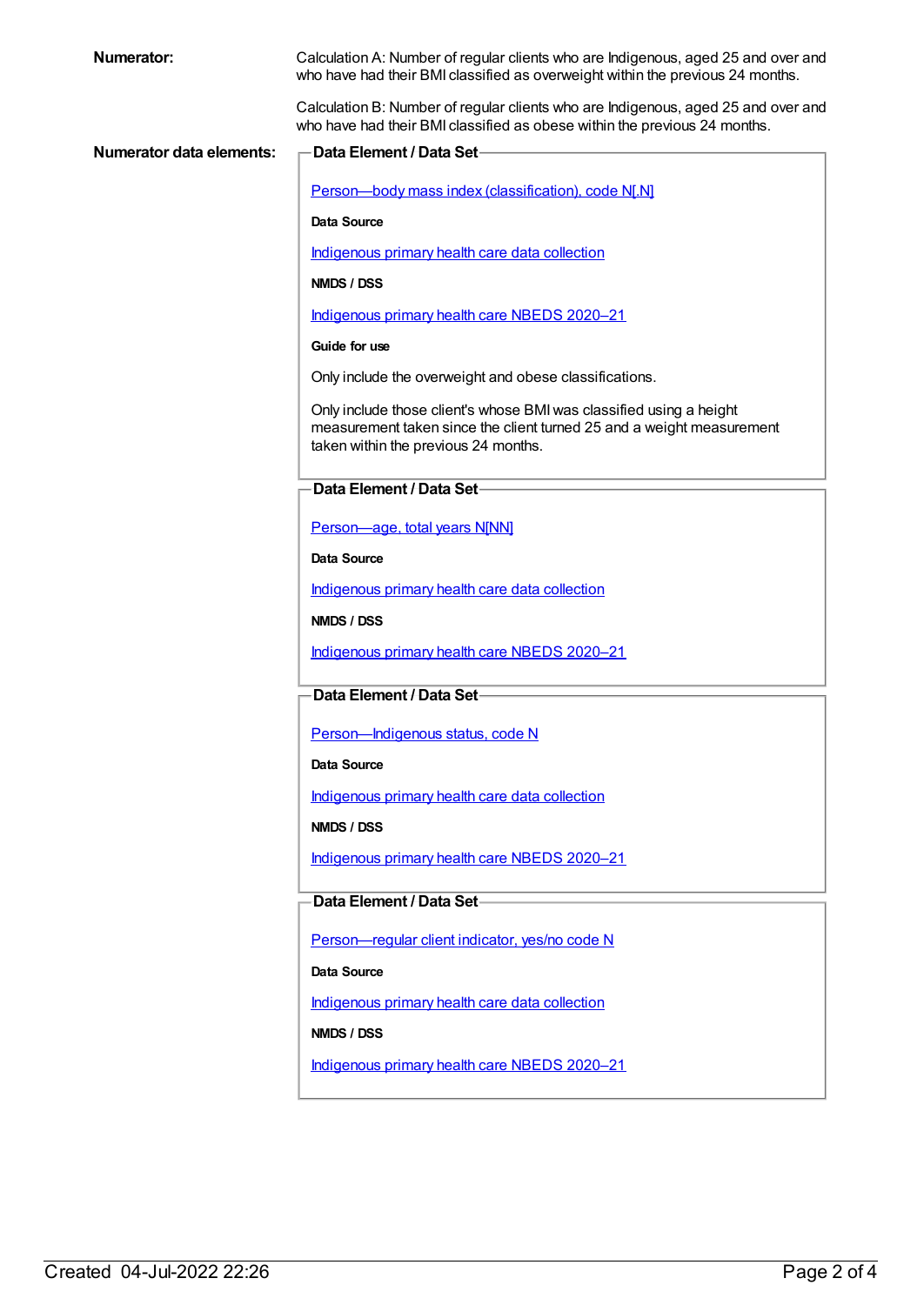| <b>Numerator:</b>               | Calculation A: Number of regular clients who are Indigenous, aged 25 and over and<br>who have had their BMI classified as overweight within the previous 24 months.                  |
|---------------------------------|--------------------------------------------------------------------------------------------------------------------------------------------------------------------------------------|
|                                 | Calculation B: Number of regular clients who are Indigenous, aged 25 and over and<br>who have had their BMI classified as obese within the previous 24 months.                       |
| <b>Numerator data elements:</b> | <b>Data Element / Data Set-</b>                                                                                                                                                      |
|                                 | Person-body mass index (classification), code N[.N]                                                                                                                                  |
|                                 | <b>Data Source</b>                                                                                                                                                                   |
|                                 | Indigenous primary health care data collection                                                                                                                                       |
|                                 | NMDS / DSS                                                                                                                                                                           |
|                                 | Indigenous primary health care NBEDS 2020-21                                                                                                                                         |
|                                 | Guide for use                                                                                                                                                                        |
|                                 | Only include the overweight and obese classifications.                                                                                                                               |
|                                 | Only include those client's whose BMI was classified using a height<br>measurement taken since the client turned 25 and a weight measurement<br>taken within the previous 24 months. |
|                                 | Data Element / Data Set-                                                                                                                                                             |
|                                 | Person-age, total years N[NN]                                                                                                                                                        |
|                                 | <b>Data Source</b>                                                                                                                                                                   |
|                                 | Indigenous primary health care data collection                                                                                                                                       |
|                                 | NMDS / DSS                                                                                                                                                                           |
|                                 | Indigenous primary health care NBEDS 2020-21                                                                                                                                         |
|                                 | Data Element / Data Set-                                                                                                                                                             |
|                                 | Person-Indigenous status, code N                                                                                                                                                     |
|                                 | <b>Data Source</b>                                                                                                                                                                   |
|                                 | Indigenous primary health care data collection                                                                                                                                       |
|                                 | NMDS / DSS                                                                                                                                                                           |
|                                 | Indigenous primary health care NBEDS 2020-21                                                                                                                                         |
|                                 | Data Element / Data Set-                                                                                                                                                             |
|                                 | Person-regular client indicator, yes/no code N                                                                                                                                       |
|                                 | Data Source                                                                                                                                                                          |
|                                 | Indigenous primary health care data collection                                                                                                                                       |
|                                 | NMDS / DSS                                                                                                                                                                           |
|                                 | Indigenous primary health care NBEDS 2020-21                                                                                                                                         |
|                                 |                                                                                                                                                                                      |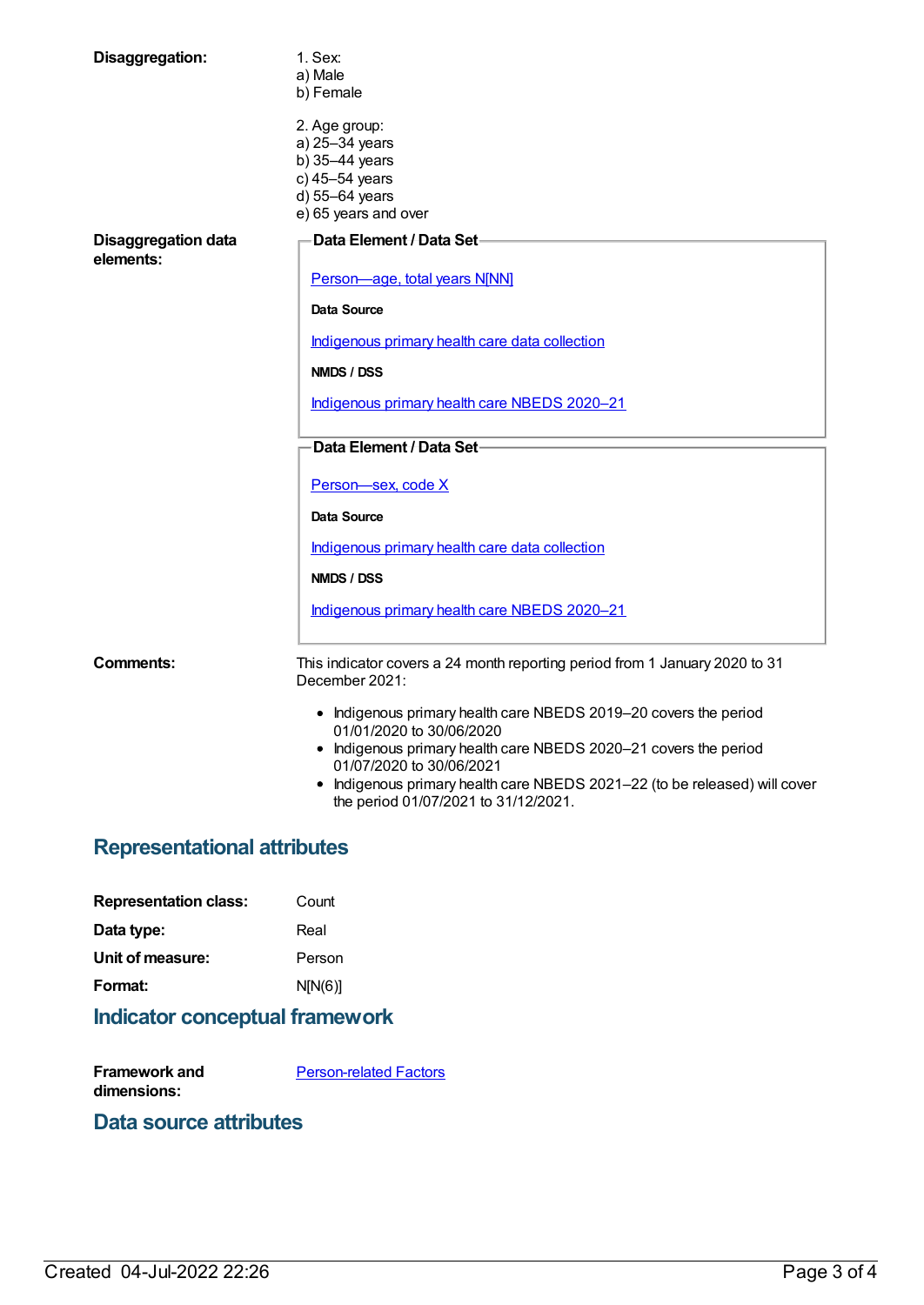| Disaggregation:                         | 1. Sex:<br>a) Male<br>b) Female                                                                                                                                                                                                                                                                                    |
|-----------------------------------------|--------------------------------------------------------------------------------------------------------------------------------------------------------------------------------------------------------------------------------------------------------------------------------------------------------------------|
|                                         | 2. Age group:<br>a) 25-34 years<br>b) 35-44 years<br>c) 45-54 years<br>d) 55-64 years<br>e) 65 years and over                                                                                                                                                                                                      |
| <b>Disaggregation data</b><br>elements: | Data Element / Data Set-                                                                                                                                                                                                                                                                                           |
|                                         | Person-age, total years N[NN]                                                                                                                                                                                                                                                                                      |
|                                         | Data Source                                                                                                                                                                                                                                                                                                        |
|                                         | Indigenous primary health care data collection                                                                                                                                                                                                                                                                     |
|                                         | NMDS / DSS                                                                                                                                                                                                                                                                                                         |
|                                         | Indigenous primary health care NBEDS 2020-21                                                                                                                                                                                                                                                                       |
|                                         | Data Element / Data Set-                                                                                                                                                                                                                                                                                           |
|                                         | Person-sex, code X                                                                                                                                                                                                                                                                                                 |
|                                         | Data Source                                                                                                                                                                                                                                                                                                        |
|                                         | Indigenous primary health care data collection                                                                                                                                                                                                                                                                     |
|                                         | NMDS / DSS                                                                                                                                                                                                                                                                                                         |
|                                         | Indigenous primary health care NBEDS 2020-21                                                                                                                                                                                                                                                                       |
| Comments:                               | This indicator covers a 24 month reporting period from 1 January 2020 to 31<br>December 2021:                                                                                                                                                                                                                      |
|                                         | • Indigenous primary health care NBEDS 2019-20 covers the period<br>01/01/2020 to 30/06/2020<br>• Indigenous primary health care NBEDS 2020-21 covers the period<br>01/07/2020 to 30/06/2021<br>• Indigenous primary health care NBEDS 2021-22 (to be released) will cover<br>the period 01/07/2021 to 31/12/2021. |
| ممشر بماستنام الممرم التمليس مممر       |                                                                                                                                                                                                                                                                                                                    |

#### **Representational attributes**

| <b>Representation class:</b> | Count   |
|------------------------------|---------|
| Data type:                   | Real    |
| Unit of measure:             | Person  |
| Format:                      | N[N(6)] |
|                              |         |

## **Indicator conceptual framework**

**Framework and dimensions: [Person-related](https://meteor.aihw.gov.au/content/410678) Factors** 

#### **Data source attributes**